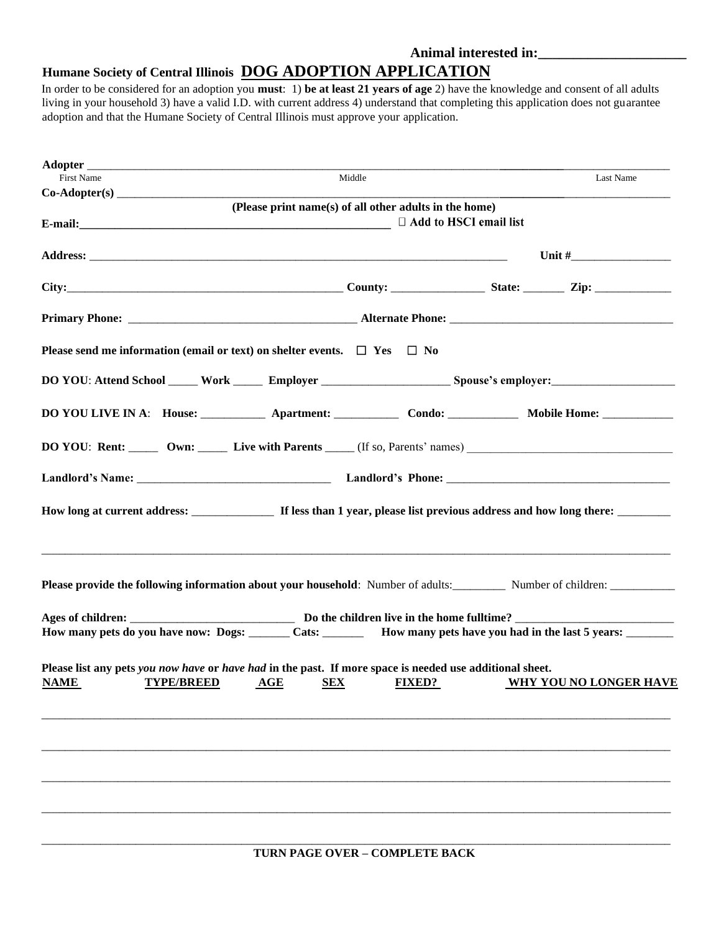## **Animal interested in:\_\_\_\_\_\_\_\_\_\_\_\_\_\_\_\_\_\_\_\_\_**

## **Humane Society of Central Illinois DOG ADOPTION APPLICATION**

In order to be considered for an adoption you **must**: 1) **be at least 21 years of age** 2) have the knowledge and consent of all adults living in your household 3) have a valid I.D. with current address 4) understand that completing this application does not guarantee adoption and that the Humane Society of Central Illinois must approve your application.

| <b>First Name</b>                                                                                        | Middle                                                 |                                                                                                                     | Last Name                     |  |  |
|----------------------------------------------------------------------------------------------------------|--------------------------------------------------------|---------------------------------------------------------------------------------------------------------------------|-------------------------------|--|--|
|                                                                                                          |                                                        |                                                                                                                     |                               |  |  |
|                                                                                                          | (Please print name(s) of all other adults in the home) | $\Box$ Add to HSCI email list                                                                                       |                               |  |  |
|                                                                                                          |                                                        |                                                                                                                     |                               |  |  |
| City: $\qquad \qquad \qquad \text{Courty:} \qquad \qquad \text{State:} \qquad \qquad \text{Lip:}$        |                                                        |                                                                                                                     |                               |  |  |
|                                                                                                          |                                                        |                                                                                                                     |                               |  |  |
| Please send me information (email or text) on shelter events. $\Box$ Yes $\Box$ No                       |                                                        |                                                                                                                     |                               |  |  |
|                                                                                                          |                                                        |                                                                                                                     |                               |  |  |
|                                                                                                          |                                                        |                                                                                                                     |                               |  |  |
|                                                                                                          |                                                        |                                                                                                                     |                               |  |  |
|                                                                                                          |                                                        |                                                                                                                     |                               |  |  |
|                                                                                                          |                                                        |                                                                                                                     |                               |  |  |
|                                                                                                          |                                                        |                                                                                                                     |                               |  |  |
|                                                                                                          |                                                        |                                                                                                                     |                               |  |  |
|                                                                                                          |                                                        | How many pets do you have now: Dogs: _______ Cats: ________ How many pets have you had in the last 5 years: _______ |                               |  |  |
| Please list any pets you now have or have had in the past. If more space is needed use additional sheet. |                                                        |                                                                                                                     |                               |  |  |
| TYPE/BREED AGE SEX FIXED?<br><b>NAME</b>                                                                 |                                                        |                                                                                                                     | <b>WHY YOU NO LONGER HAVE</b> |  |  |
|                                                                                                          |                                                        |                                                                                                                     |                               |  |  |
|                                                                                                          |                                                        |                                                                                                                     |                               |  |  |
|                                                                                                          |                                                        |                                                                                                                     |                               |  |  |
|                                                                                                          |                                                        |                                                                                                                     |                               |  |  |
|                                                                                                          |                                                        |                                                                                                                     |                               |  |  |
|                                                                                                          |                                                        |                                                                                                                     |                               |  |  |
|                                                                                                          |                                                        |                                                                                                                     |                               |  |  |